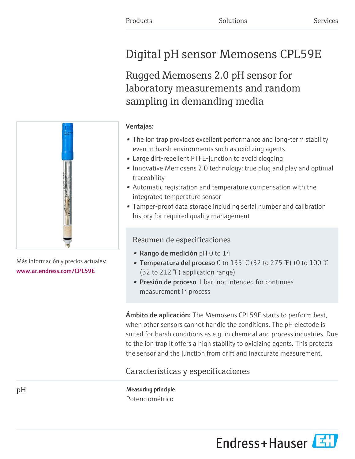# Digital pH sensor Memosens CPL59E

Rugged Memosens 2.0 pH sensor for laboratory measurements and random sampling in demanding media

# Ventajas:

- The ion trap provides excellent performance and long-term stability even in harsh environments such as oxidizing agents
- Large dirt-repellent PTFE-junction to avoid clogging
- Innovative Memosens 2.0 technology: true plug and play and optimal traceability
- Automatic registration and temperature compensation with the integrated temperature sensor
- Tamper-proof data storage including serial number and calibration history for required quality management

# Resumen de especificaciones

- Rango de medición pH 0 to 14
- Temperatura del proceso 0 to 135 °C (32 to 275 °F) (0 to 100 °C (32 to 212 °F) application range)
- Presión de proceso 1 bar, not intended for continues measurement in process

Ambito de aplicación: The Memosens CPL59E starts to perform best, when other sensors cannot handle the conditions. The pH electode is suited for harsh conditions as e.g. in chemical and process industries. Due to the ion trap it offers a high stability to oxidizing agents. This protects the sensor and the junction from drift and inaccurate measurement.

# Características y especificaciones

pH Measuring principle Potenciométrico





Más información y precios actuales: [www.ar.endress.com/CPL59E](https://www.ar.endress.com/CPL59E)